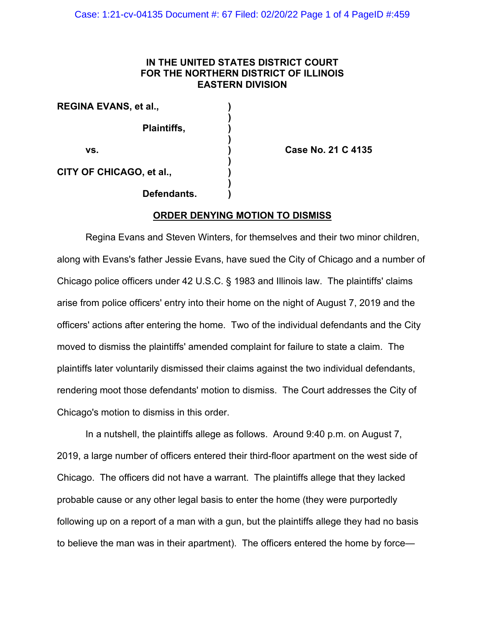# **IN THE UNITED STATES DISTRICT COURT FOR THE NORTHERN DISTRICT OF ILLINOIS EASTERN DIVISION**

**)**

**)**

**)**

**)**

**REGINA EVANS, et al., ) Plaintiffs, ) vs. ) Case No. 21 C 4135 CITY OF CHICAGO, et al., )**

**Defendants. )**

## **ORDER DENYING MOTION TO DISMISS**

Regina Evans and Steven Winters, for themselves and their two minor children, along with Evans's father Jessie Evans, have sued the City of Chicago and a number of Chicago police officers under 42 U.S.C. § 1983 and Illinois law. The plaintiffs' claims arise from police officers' entry into their home on the night of August 7, 2019 and the officers' actions after entering the home. Two of the individual defendants and the City moved to dismiss the plaintiffs' amended complaint for failure to state a claim. The plaintiffs later voluntarily dismissed their claims against the two individual defendants, rendering moot those defendants' motion to dismiss. The Court addresses the City of Chicago's motion to dismiss in this order.

In a nutshell, the plaintiffs allege as follows. Around 9:40 p.m. on August 7, 2019, a large number of officers entered their third-floor apartment on the west side of Chicago. The officers did not have a warrant. The plaintiffs allege that they lacked probable cause or any other legal basis to enter the home (they were purportedly following up on a report of a man with a gun, but the plaintiffs allege they had no basis to believe the man was in their apartment). The officers entered the home by force—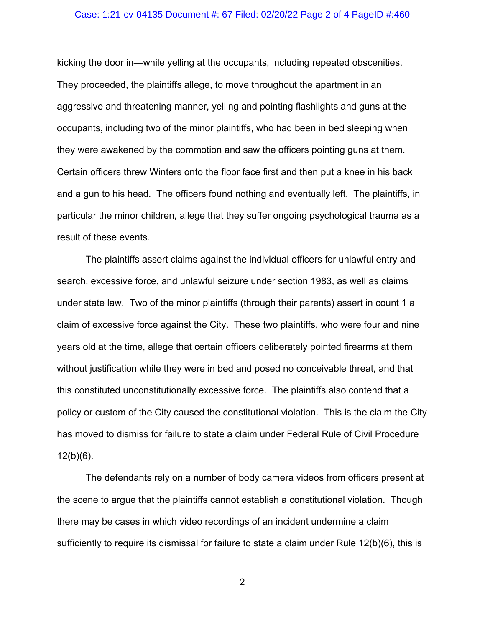### Case: 1:21-cv-04135 Document #: 67 Filed: 02/20/22 Page 2 of 4 PageID #:460

kicking the door in—while yelling at the occupants, including repeated obscenities. They proceeded, the plaintiffs allege, to move throughout the apartment in an aggressive and threatening manner, yelling and pointing flashlights and guns at the occupants, including two of the minor plaintiffs, who had been in bed sleeping when they were awakened by the commotion and saw the officers pointing guns at them. Certain officers threw Winters onto the floor face first and then put a knee in his back and a gun to his head. The officers found nothing and eventually left. The plaintiffs, in particular the minor children, allege that they suffer ongoing psychological trauma as a result of these events.

The plaintiffs assert claims against the individual officers for unlawful entry and search, excessive force, and unlawful seizure under section 1983, as well as claims under state law. Two of the minor plaintiffs (through their parents) assert in count 1 a claim of excessive force against the City. These two plaintiffs, who were four and nine years old at the time, allege that certain officers deliberately pointed firearms at them without justification while they were in bed and posed no conceivable threat, and that this constituted unconstitutionally excessive force. The plaintiffs also contend that a policy or custom of the City caused the constitutional violation. This is the claim the City has moved to dismiss for failure to state a claim under Federal Rule of Civil Procedure  $12(b)(6)$ .

The defendants rely on a number of body camera videos from officers present at the scene to argue that the plaintiffs cannot establish a constitutional violation. Though there may be cases in which video recordings of an incident undermine a claim sufficiently to require its dismissal for failure to state a claim under Rule 12(b)(6), this is

2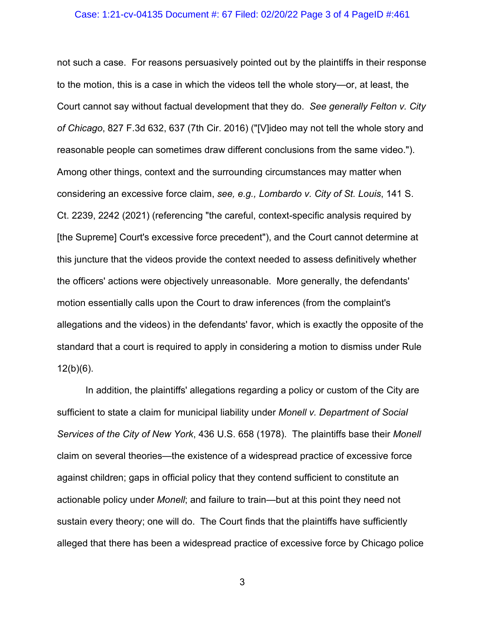### Case: 1:21-cv-04135 Document #: 67 Filed: 02/20/22 Page 3 of 4 PageID #:461

not such a case. For reasons persuasively pointed out by the plaintiffs in their response to the motion, this is a case in which the videos tell the whole story—or, at least, the Court cannot say without factual development that they do. *See generally Felton v. City of Chicago*, 827 F.3d 632, 637 (7th Cir. 2016) ("[V]ideo may not tell the whole story and reasonable people can sometimes draw different conclusions from the same video."). Among other things, context and the surrounding circumstances may matter when considering an excessive force claim, *see, e.g., Lombardo v. City of St. Louis*, 141 S. Ct. 2239, 2242 (2021) (referencing "the careful, context-specific analysis required by [the Supreme] Court's excessive force precedent"), and the Court cannot determine at this juncture that the videos provide the context needed to assess definitively whether the officers' actions were objectively unreasonable. More generally, the defendants' motion essentially calls upon the Court to draw inferences (from the complaint's allegations and the videos) in the defendants' favor, which is exactly the opposite of the standard that a court is required to apply in considering a motion to dismiss under Rule  $12(b)(6)$ .

In addition, the plaintiffs' allegations regarding a policy or custom of the City are sufficient to state a claim for municipal liability under *Monell v. Department of Social Services of the City of New York*, 436 U.S. 658 (1978). The plaintiffs base their *Monell*  claim on several theories—the existence of a widespread practice of excessive force against children; gaps in official policy that they contend sufficient to constitute an actionable policy under *Monell*; and failure to train—but at this point they need not sustain every theory; one will do. The Court finds that the plaintiffs have sufficiently alleged that there has been a widespread practice of excessive force by Chicago police

3